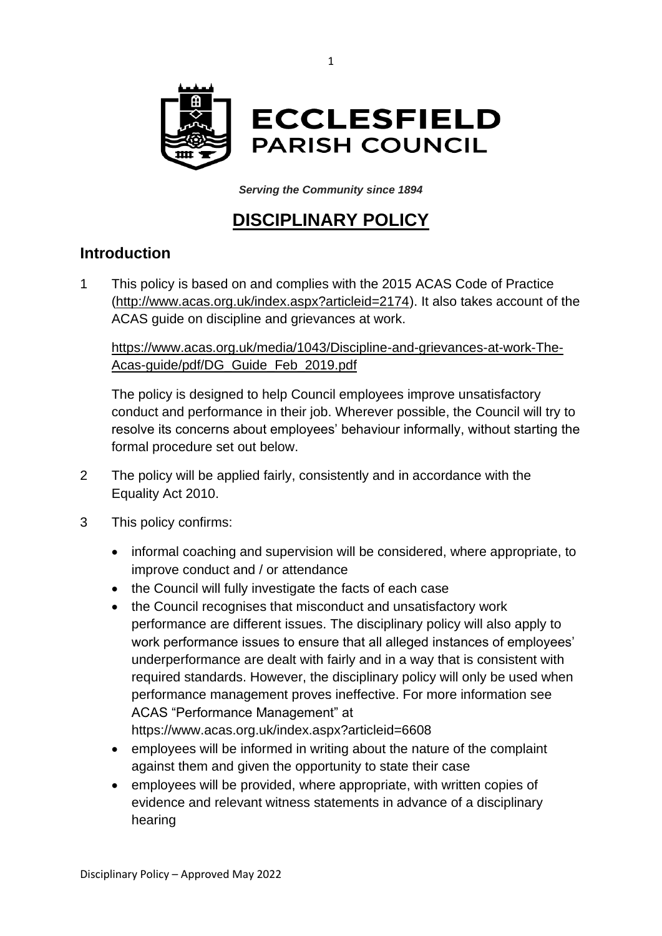

*Serving the Community since 1894*

# **DISCIPLINARY POLICY**

#### **Introduction**

1 This policy is based on and complies with the 2015 ACAS Code of Practice [\(http://www.acas.org.uk/index.aspx?articleid=2174\)](http://www.acas.org.uk/index.aspx?articleid=2174). It also takes account of the ACAS guide on discipline and grievances at work.

[https://www.acas.org.uk/media/1043/Discipline-and-grievances-at-work-The-](https://www.acas.org.uk/media/1043/Discipline-and-grievances-at-work-The-Acas-guide/pdf/DG_Guide_Feb_2019.pdf)[Acas-guide/pdf/DG\\_Guide\\_Feb\\_2019.pdf](https://www.acas.org.uk/media/1043/Discipline-and-grievances-at-work-The-Acas-guide/pdf/DG_Guide_Feb_2019.pdf)

The policy is designed to help Council employees improve unsatisfactory conduct and performance in their job. Wherever possible, the Council will try to resolve its concerns about employees' behaviour informally, without starting the formal procedure set out below.

- 2 The policy will be applied fairly, consistently and in accordance with the Equality Act 2010.
- 3 This policy confirms:
	- informal coaching and supervision will be considered, where appropriate, to improve conduct and / or attendance
	- the Council will fully investigate the facts of each case
	- the Council recognises that misconduct and unsatisfactory work performance are different issues. The disciplinary policy will also apply to work performance issues to ensure that all alleged instances of employees' underperformance are dealt with fairly and in a way that is consistent with required standards. However, the disciplinary policy will only be used when performance management proves ineffective. For more information see ACAS "Performance Management" at <https://www.acas.org.uk/index.aspx?articleid=6608>
	- employees will be informed in writing about the nature of the complaint against them and given the opportunity to state their case
	- employees will be provided, where appropriate, with written copies of evidence and relevant witness statements in advance of a disciplinary hearing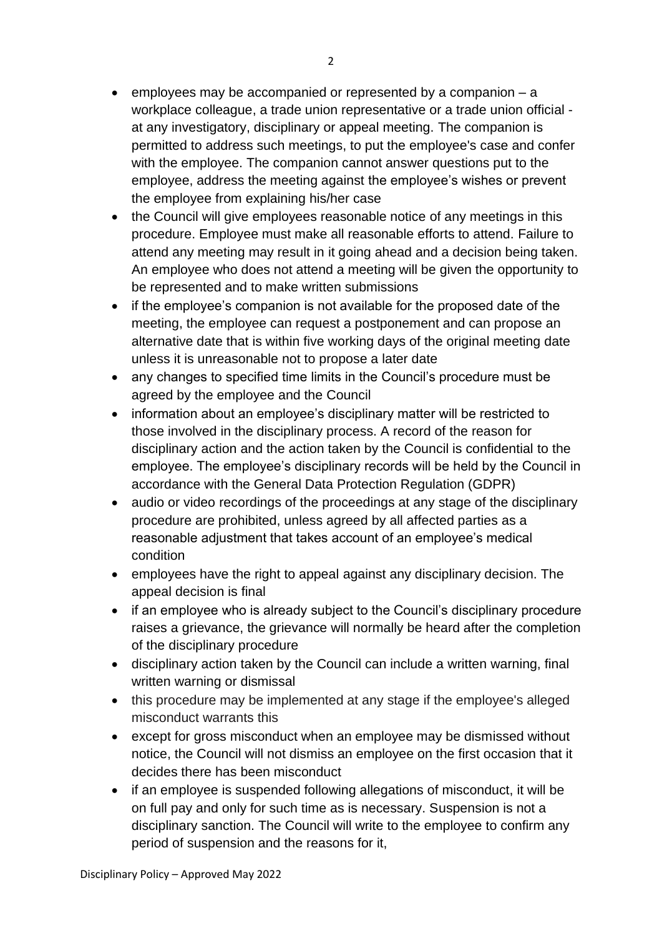- employees may be accompanied or represented by a companion a workplace colleague, a trade union representative or a trade union official at any investigatory, disciplinary or appeal meeting. The companion is permitted to address such meetings, to put the employee's case and confer with the employee. The companion cannot answer questions put to the employee, address the meeting against the employee's wishes or prevent the employee from explaining his/her case
- the Council will give employees reasonable notice of any meetings in this procedure. Employee must make all reasonable efforts to attend. Failure to attend any meeting may result in it going ahead and a decision being taken. An employee who does not attend a meeting will be given the opportunity to be represented and to make written submissions
- if the employee's companion is not available for the proposed date of the meeting, the employee can request a postponement and can propose an alternative date that is within five working days of the original meeting date unless it is unreasonable not to propose a later date
- any changes to specified time limits in the Council's procedure must be agreed by the employee and the Council
- information about an employee's disciplinary matter will be restricted to those involved in the disciplinary process. A record of the reason for disciplinary action and the action taken by the Council is confidential to the employee. The employee's disciplinary records will be held by the Council in accordance with the General Data Protection Regulation (GDPR)
- audio or video recordings of the proceedings at any stage of the disciplinary procedure are prohibited, unless agreed by all affected parties as a reasonable adjustment that takes account of an employee's medical condition
- employees have the right to appeal against any disciplinary decision. The appeal decision is final
- if an employee who is already subject to the Council's disciplinary procedure raises a grievance, the grievance will normally be heard after the completion of the disciplinary procedure
- disciplinary action taken by the Council can include a written warning, final written warning or dismissal
- this procedure may be implemented at any stage if the employee's alleged misconduct warrants this
- except for gross misconduct when an employee may be dismissed without notice, the Council will not dismiss an employee on the first occasion that it decides there has been misconduct
- if an employee is suspended following allegations of misconduct, it will be on full pay and only for such time as is necessary. Suspension is not a disciplinary sanction. The Council will write to the employee to confirm any period of suspension and the reasons for it,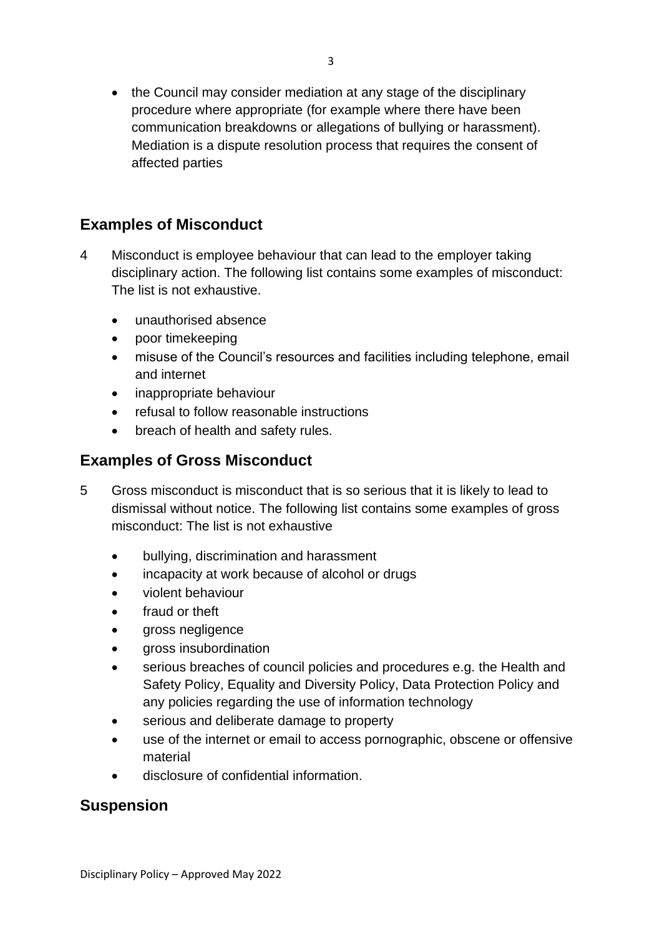• the Council may consider mediation at any stage of the disciplinary procedure where appropriate (for example where there have been communication breakdowns or allegations of bullying or harassment). Mediation is a dispute resolution process that requires the consent of affected parties

# **Examples of Misconduct**

- 4 Misconduct is employee behaviour that can lead to the employer taking disciplinary action. The following list contains some examples of misconduct: The list is not exhaustive.
	- unauthorised absence
	- poor timekeeping
	- misuse of the Council's resources and facilities including telephone, email and internet
	- inappropriate behaviour
	- refusal to follow reasonable instructions
	- breach of health and safety rules.

#### **Examples of Gross Misconduct**

- 5 Gross misconduct is misconduct that is so serious that it is likely to lead to dismissal without notice. The following list contains some examples of gross misconduct: The list is not exhaustive
	- bullying, discrimination and harassment
	- incapacity at work because of alcohol or drugs
	- violent behaviour
	- fraud or theft
	- gross negligence
	- gross insubordination
	- serious breaches of council policies and procedures e.g. the Health and Safety Policy, Equality and Diversity Policy, Data Protection Policy and any policies regarding the use of information technology
	- serious and deliberate damage to property
	- use of the internet or email to access pornographic, obscene or offensive material
	- disclosure of confidential information.

#### **Suspension**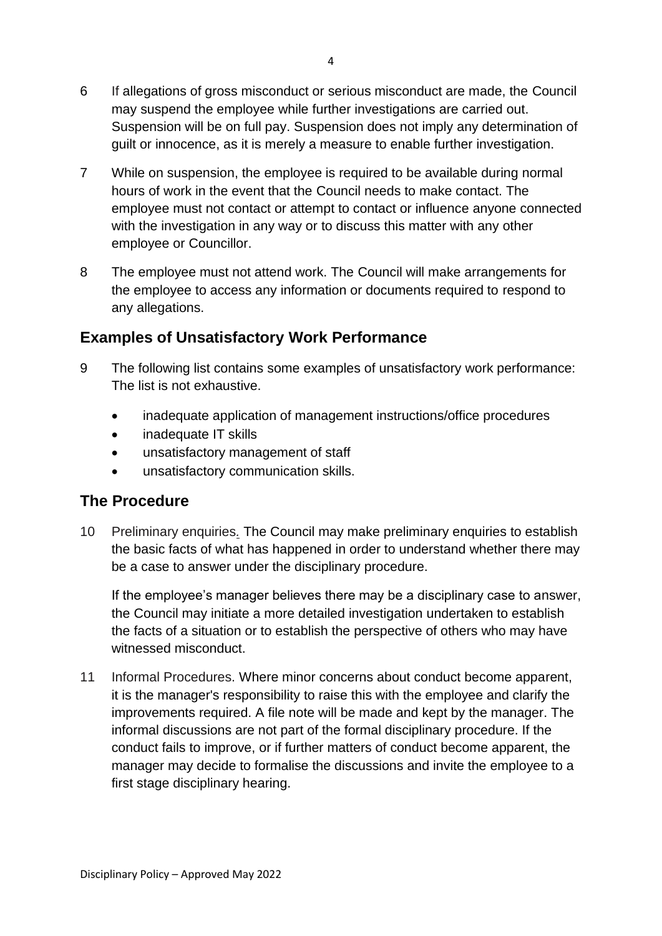- 6 If allegations of gross misconduct or serious misconduct are made, the Council may suspend the employee while further investigations are carried out. Suspension will be on full pay. Suspension does not imply any determination of guilt or innocence, as it is merely a measure to enable further investigation.
- 7 While on suspension, the employee is required to be available during normal hours of work in the event that the Council needs to make contact. The employee must not contact or attempt to contact or influence anyone connected with the investigation in any way or to discuss this matter with any other employee or Councillor.
- 8 The employee must not attend work. The Council will make arrangements for the employee to access any information or documents required to respond to any allegations.

### **Examples of Unsatisfactory Work Performance**

- 9 The following list contains some examples of unsatisfactory work performance: The list is not exhaustive.
	- inadequate application of management instructions/office procedures
	- inadequate IT skills
	- unsatisfactory management of staff
	- unsatisfactory communication skills.

### **The Procedure**

10 Preliminary enquiries*.* The Council may make preliminary enquiries to establish the basic facts of what has happened in order to understand whether there may be a case to answer under the disciplinary procedure.

If the employee's manager believes there may be a disciplinary case to answer, the Council may initiate a more detailed investigation undertaken to establish the facts of a situation or to establish the perspective of others who may have witnessed misconduct.

11 Informal Procedures. Where minor concerns about conduct become apparent, it is the manager's responsibility to raise this with the employee and clarify the improvements required. A file note will be made and kept by the manager. The informal discussions are not part of the formal disciplinary procedure. If the conduct fails to improve, or if further matters of conduct become apparent, the manager may decide to formalise the discussions and invite the employee to a first stage disciplinary hearing.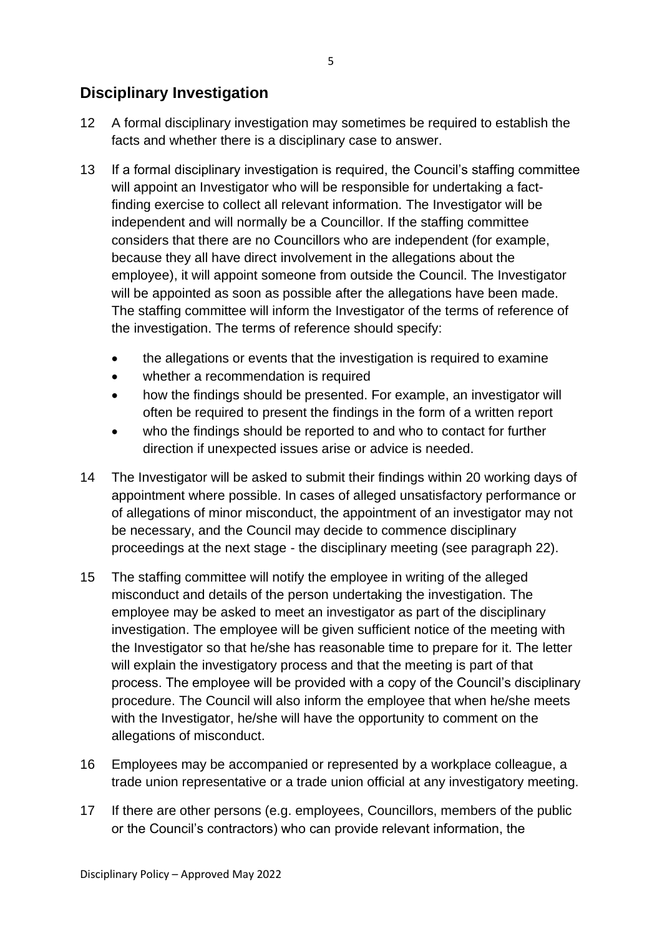### **Disciplinary Investigation**

- 12 A formal disciplinary investigation may sometimes be required to establish the facts and whether there is a disciplinary case to answer.
- 13 If a formal disciplinary investigation is required, the Council's staffing committee will appoint an Investigator who will be responsible for undertaking a factfinding exercise to collect all relevant information. The Investigator will be independent and will normally be a Councillor. If the staffing committee considers that there are no Councillors who are independent (for example, because they all have direct involvement in the allegations about the employee), it will appoint someone from outside the Council. The Investigator will be appointed as soon as possible after the allegations have been made. The staffing committee will inform the Investigator of the terms of reference of the investigation. The terms of reference should specify:
	- the allegations or events that the investigation is required to examine
	- whether a recommendation is required
	- how the findings should be presented. For example, an investigator will often be required to present the findings in the form of a written report
	- who the findings should be reported to and who to contact for further direction if unexpected issues arise or advice is needed.
- 14 The Investigator will be asked to submit their findings within 20 working days of appointment where possible. In cases of alleged unsatisfactory performance or of allegations of minor misconduct, the appointment of an investigator may not be necessary, and the Council may decide to commence disciplinary proceedings at the next stage - the disciplinary meeting (see paragraph 22).
- 15 The staffing committee will notify the employee in writing of the alleged misconduct and details of the person undertaking the investigation. The employee may be asked to meet an investigator as part of the disciplinary investigation. The employee will be given sufficient notice of the meeting with the Investigator so that he/she has reasonable time to prepare for it. The letter will explain the investigatory process and that the meeting is part of that process. The employee will be provided with a copy of the Council's disciplinary procedure. The Council will also inform the employee that when he/she meets with the Investigator, he/she will have the opportunity to comment on the allegations of misconduct.
- 16 Employees may be accompanied or represented by a workplace colleague, a trade union representative or a trade union official at any investigatory meeting.
- 17 If there are other persons (e.g. employees, Councillors, members of the public or the Council's contractors) who can provide relevant information, the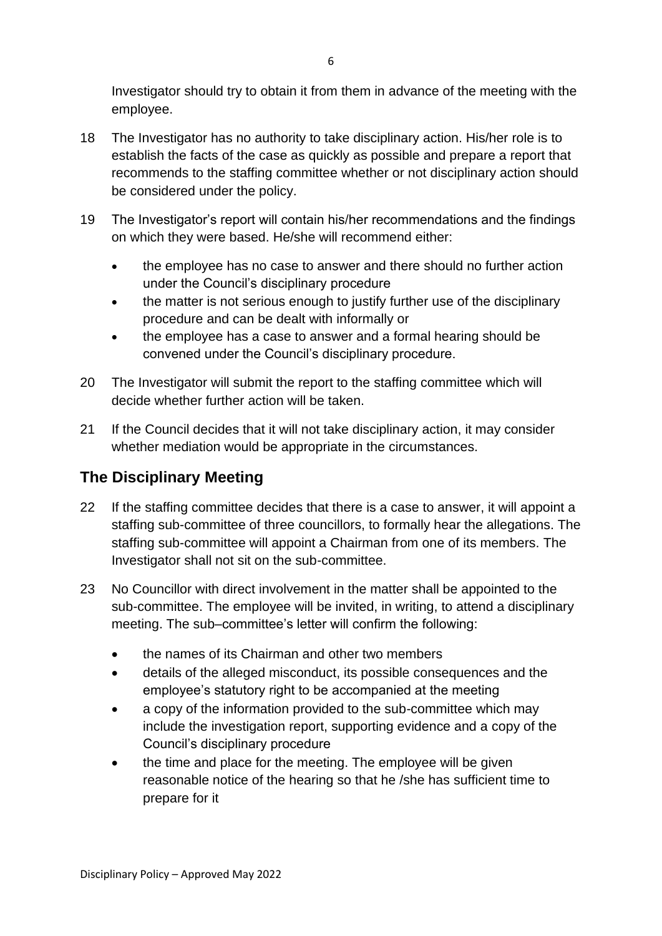Investigator should try to obtain it from them in advance of the meeting with the employee.

- 18 The Investigator has no authority to take disciplinary action. His/her role is to establish the facts of the case as quickly as possible and prepare a report that recommends to the staffing committee whether or not disciplinary action should be considered under the policy.
- 19 The Investigator's report will contain his/her recommendations and the findings on which they were based. He/she will recommend either:
	- the employee has no case to answer and there should no further action under the Council's disciplinary procedure
	- the matter is not serious enough to justify further use of the disciplinary procedure and can be dealt with informally or
	- the employee has a case to answer and a formal hearing should be convened under the Council's disciplinary procedure.
- 20 The Investigator will submit the report to the staffing committee which will decide whether further action will be taken.
- 21 If the Council decides that it will not take disciplinary action, it may consider whether mediation would be appropriate in the circumstances.

# **The Disciplinary Meeting**

- 22 If the staffing committee decides that there is a case to answer, it will appoint a staffing sub-committee of three councillors, to formally hear the allegations. The staffing sub-committee will appoint a Chairman from one of its members. The Investigator shall not sit on the sub-committee.
- 23 No Councillor with direct involvement in the matter shall be appointed to the sub-committee. The employee will be invited, in writing, to attend a disciplinary meeting. The sub–committee's letter will confirm the following:
	- the names of its Chairman and other two members
	- details of the alleged misconduct, its possible consequences and the employee's statutory right to be accompanied at the meeting
	- a copy of the information provided to the sub-committee which may include the investigation report, supporting evidence and a copy of the Council's disciplinary procedure
	- the time and place for the meeting. The employee will be given reasonable notice of the hearing so that he /she has sufficient time to prepare for it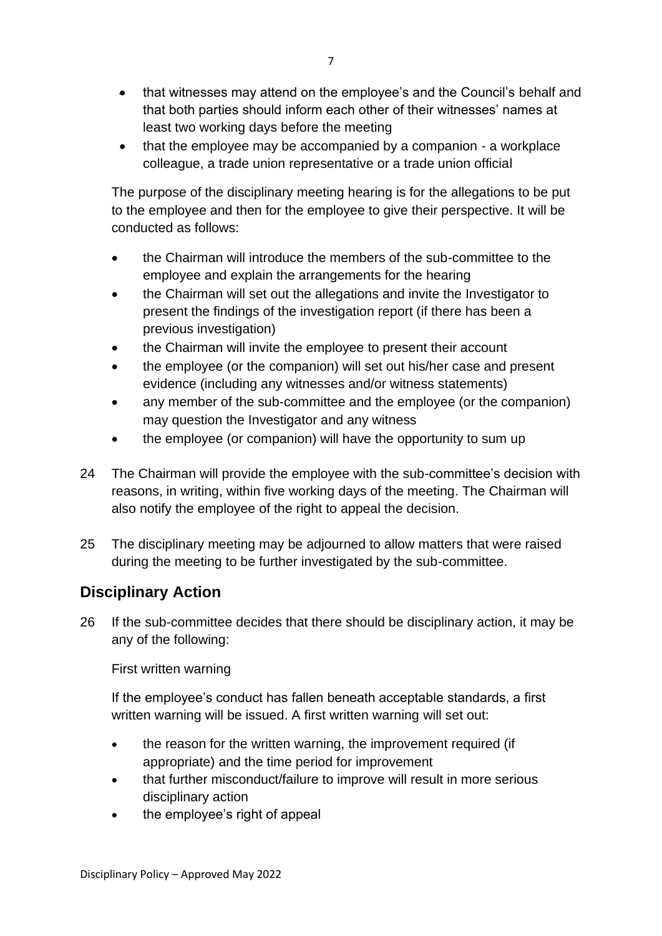- that witnesses may attend on the employee's and the Council's behalf and that both parties should inform each other of their witnesses' names at least two working days before the meeting
- that the employee may be accompanied by a companion a workplace colleague, a trade union representative or a trade union official

The purpose of the disciplinary meeting hearing is for the allegations to be put to the employee and then for the employee to give their perspective. It will be conducted as follows:

- the Chairman will introduce the members of the sub-committee to the employee and explain the arrangements for the hearing
- the Chairman will set out the allegations and invite the Investigator to present the findings of the investigation report (if there has been a previous investigation)
- the Chairman will invite the employee to present their account
- the employee (or the companion) will set out his/her case and present evidence (including any witnesses and/or witness statements)
- any member of the sub-committee and the employee (or the companion) may question the Investigator and any witness
- the employee (or companion) will have the opportunity to sum up
- 24 The Chairman will provide the employee with the sub-committee's decision with reasons, in writing, within five working days of the meeting. The Chairman will also notify the employee of the right to appeal the decision.
- 25 The disciplinary meeting may be adjourned to allow matters that were raised during the meeting to be further investigated by the sub-committee.

# **Disciplinary Action**

26 If the sub-committee decides that there should be disciplinary action, it may be any of the following:

First written warning

If the employee's conduct has fallen beneath acceptable standards, a first written warning will be issued. A first written warning will set out:

- the reason for the written warning, the improvement required (if appropriate) and the time period for improvement
- that further misconduct/failure to improve will result in more serious disciplinary action
- the employee's right of appeal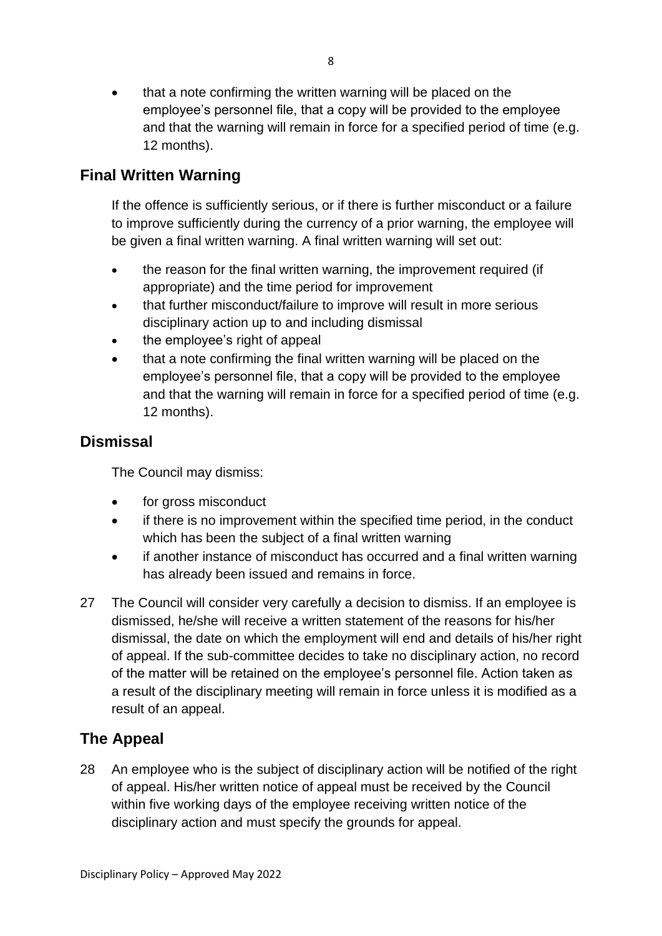• that a note confirming the written warning will be placed on the employee's personnel file, that a copy will be provided to the employee and that the warning will remain in force for a specified period of time (e.g. 12 months).

### **Final Written Warning**

If the offence is sufficiently serious, or if there is further misconduct or a failure to improve sufficiently during the currency of a prior warning, the employee will be given a final written warning. A final written warning will set out:

- the reason for the final written warning, the improvement required (if appropriate) and the time period for improvement
- that further misconduct/failure to improve will result in more serious disciplinary action up to and including dismissal
- the employee's right of appeal
- that a note confirming the final written warning will be placed on the employee's personnel file, that a copy will be provided to the employee and that the warning will remain in force for a specified period of time (e.g. 12 months).

#### **Dismissal**

The Council may dismiss:

- for gross misconduct
- if there is no improvement within the specified time period, in the conduct which has been the subject of a final written warning
- if another instance of misconduct has occurred and a final written warning has already been issued and remains in force.
- 27 The Council will consider very carefully a decision to dismiss. If an employee is dismissed, he/she will receive a written statement of the reasons for his/her dismissal, the date on which the employment will end and details of his/her right of appeal. If the sub-committee decides to take no disciplinary action, no record of the matter will be retained on the employee's personnel file. Action taken as a result of the disciplinary meeting will remain in force unless it is modified as a result of an appeal.

# **The Appeal**

28 An employee who is the subject of disciplinary action will be notified of the right of appeal. His/her written notice of appeal must be received by the Council within five working days of the employee receiving written notice of the disciplinary action and must specify the grounds for appeal.